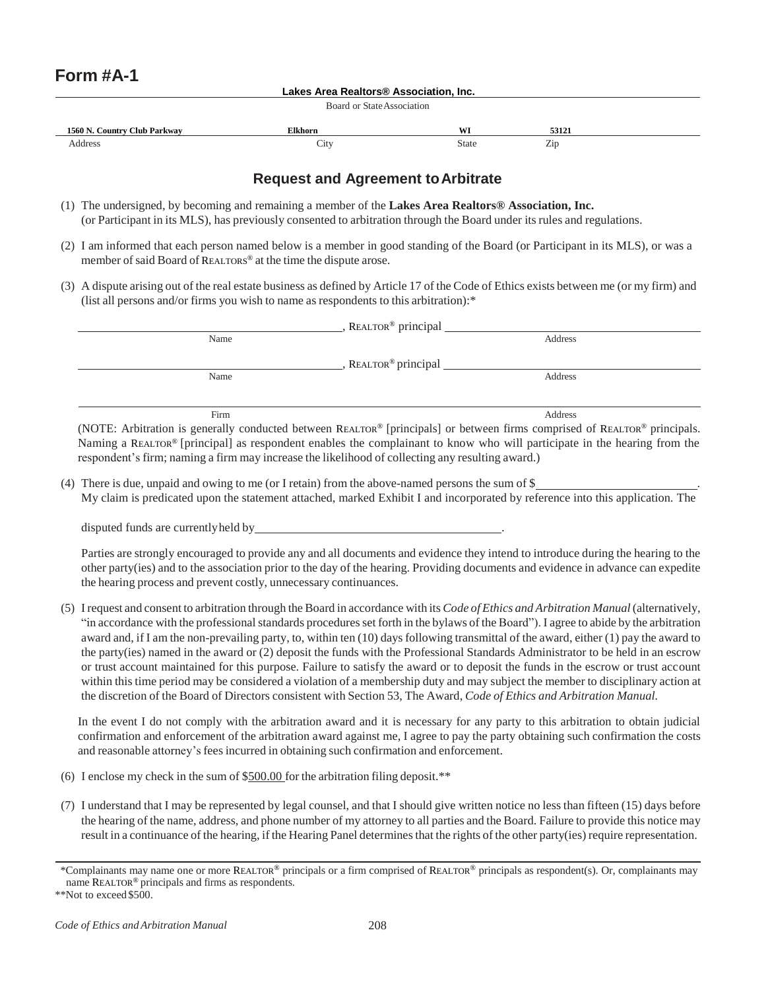## **Lakes Area Realtors® Association, Inc.**

Board or StateAssociation

| √ Club Parkwav      |                           |              |                                 |  |
|---------------------|---------------------------|--------------|---------------------------------|--|
| ountr               | <sup>~1</sup> khorn       | <b>TYT</b>   | $-112$                          |  |
| Addres <sup>-</sup> | $\mathcal{L}1\mathcal{U}$ | <b>State</b> | $\overline{\phantom{a}}$<br>ZD. |  |

## **Request and Agreement toArbitrate**

- (1) The undersigned, by becoming and remaining a member of the **Lakes Area Realtors® Association, Inc.** (or Participant in its MLS), has previously consented to arbitration through the Board under its rules and regulations.
- (2) I am informed that each person named below is a member in good standing of the Board (or Participant in its MLS), or was a member of said Board of REALTORS® at the time the dispute arose.
- (3) A dispute arising out of the real estate business as defined by Article 17 of the Code of Ethics exists between me (or my firm) and (list all persons and/or firms you wish to name as respondents to this arbitration):\*

| REALTOR <sup>®</sup> principal                                                                                             |         |  |  |  |  |
|----------------------------------------------------------------------------------------------------------------------------|---------|--|--|--|--|
| Name                                                                                                                       | Address |  |  |  |  |
| REALTOR <sup>®</sup> principal                                                                                             |         |  |  |  |  |
| Name                                                                                                                       | Address |  |  |  |  |
|                                                                                                                            |         |  |  |  |  |
| Firm                                                                                                                       | Address |  |  |  |  |
| (NOTE: Arbitration is generally conducted between REALTOR® [principals] or between firms comprised of REALTOR® principals. |         |  |  |  |  |

Naming a REALTOR® [principal] as respondent enables the complainant to know who will participate in the hearing from the respondent's firm; naming a firm may increase the likelihood of collecting any resulting award.)

(4) There is due, unpaid and owing to me (or I retain) from the above-named persons the sum of  $\$ My claim is predicated upon the statement attached, marked Exhibit I and incorporated by reference into this application. The

disputed funds are currentlyheld by

Parties are strongly encouraged to provide any and all documents and evidence they intend to introduce during the hearing to the other party(ies) and to the association prior to the day of the hearing. Providing documents and evidence in advance can expedite the hearing process and prevent costly, unnecessary continuances.

(5) I request and consent to arbitration through the Board in accordance with its *Code of Ethics and Arbitration Manual* (alternatively, "in accordance with the professional standards procedures set forth in the bylaws of the Board"). I agree to abide by the arbitration award and, if I am the non-prevailing party, to, within ten (10) daysfollowing transmittal of the award, either (1) pay the award to the party(ies) named in the award or (2) deposit the funds with the Professional Standards Administrator to be held in an escrow or trust account maintained for this purpose. Failure to satisfy the award or to deposit the funds in the escrow or trust account within this time period may be considered a violation of a membership duty and may subject the member to disciplinary action at the discretion of the Board of Directors consistent with Section 53, The Award, *Code of Ethics and Arbitration Manual.*

In the event I do not comply with the arbitration award and it is necessary for any party to this arbitration to obtain judicial confirmation and enforcement of the arbitration award against me, I agree to pay the party obtaining such confirmation the costs and reasonable attorney's fees incurred in obtaining such confirmation and enforcement.

- (6) I enclose my check in the sum of  $$500.00$  for the arbitration filing deposit.\*\*
- (7) I understand that I may be represented by legal counsel, and that I should give written notice no less than fifteen (15) days before the hearing of the name, address, and phone number of my attorney to all parties and the Board. Failure to provide this notice may result in a continuance of the hearing, if the Hearing Panel determinesthat the rights of the other party(ies) require representation.

<sup>\*</sup>Complainants may name one or more REALTOR® principals or a firm comprised of REALTOR® principals as respondent(s). Or, complainants may name REALTOR® principals and firms as respondents.

<sup>\*\*</sup>Not to exceed\$500.